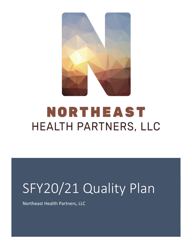

# NORTHEAST **HEALTH PARTNERS, LLC**

# SFY20/21 Quality Plan

Northeast Health Partners, LLC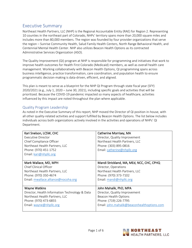### Executive Summary

Northeast Health Partners, LLC (NHP) is the Regional Accountable Entity (RAE) for Region 2. Representing 10 counties in the northeast part of Colorado, NHPs' territory spans more than 20,000 square miles and includes more than 80,000 members. The region was founded by four provider organizations that serve the region – Sunrise Community Health, Salud Family Health Centers, North Range Behavioral Health, and Centennial Mental Health Center. NHP also utilizes Beacon Health Options as its contracted Administrative Services Organization (ASO).

The Quality Improvement (QI) program at NHP is responsible for programming and initiatives that work to improve health outcomes for Health First Colorado (Medicaid) members, as well as overall health care management. Working collaboratively with Beacon Health Options, QI programming spans across business intelligence, practice transformation, care coordination, and population health to ensure programmatic decision-making is data-driven, efficient, and aligned.

This plan is meant to serve as a blueprint for the NHP QI Program through state fiscal year (SFY) 2020/2021 (e.g., July 1, 2020 – June 30, 2021), including specific goals and activities that will be prioritized. Because the COVID-19 pandemic impacted so many aspects of healthcare, activities influenced by this impact are noted throughout the plan where applicable.

#### Quality Program Leadership

As noted in the Executive Summary of this report, NHP moved the Director of QI position in-house, with all other quality-related activities and support fulfilled by Beacon Health Options. The list below includes individuals across both organizations actively involved in the activities and operations of NHPs' QI Department.

| Kari Snelson, LCSW, CHC                        | Catherine Morrisey, MA                      |
|------------------------------------------------|---------------------------------------------|
| Executive Director                             | Director, Quality Improvement               |
| Chief Compliance Officer                       | Northeast Health Partners, LLC              |
| Northeast Health Partners, LLC                 | Phone: (303) 895-0816                       |
| Phone: (970) 451-1752                          | Email: catherine@nhpllc.org                 |
| Email: kari@nhpllc.org                         |                                             |
|                                                |                                             |
| Mark Wallace, MD, MPH                          | Mandi Strickland, MA, MEd, NCC, CHC, CPHQ   |
| Chief Clinical Officer                         | Director, Operations                        |
| Northeast Health Partners, LLC                 | Northeast Health Partners, LLC              |
| Phone: (970) 350-4674                          | Phone: (970) 373-7102                       |
| Email: mwallace.alliance@nocoha.org            | Email: mandi@nhpllc.org                     |
|                                                |                                             |
| <b>Wayne Watkins</b>                           | John Mahalik, PhD, MPA                      |
| Director, Health Information Technology & Data | Director, Quality Improvement               |
| Northeast Health Partners, LLC                 | Beacon Health Options                       |
| Phone: (970) 473-6855                          | Phone: (719) 226-7795                       |
| Email: wayne@nhpllc.org                        | Email: john.mahalik@beaconhealthoptions.com |
|                                                |                                             |

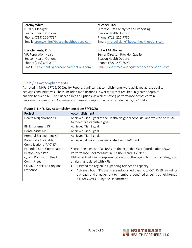| Jeremy White                                 | Michael Clark                                  |
|----------------------------------------------|------------------------------------------------|
| <b>Quality Manager</b>                       | Director, Data Analytics and Reporting         |
| Beacon Health Options                        | <b>Beacon Health Options</b>                   |
| Phone: (719) 226-7794                        | Phone: (719) 226-7781                          |
| Email: jeremy.white@beaconhealthoptions.com  | Email: michael.clark@beaconhealthoptions.com   |
|                                              |                                                |
|                                              |                                                |
| Lisa Clements, PhD                           | Robert McAlonan                                |
| VP, Population Health                        | Senior Director, Provider Quality              |
| Beacon Health Options                        | Beacon Health Options                          |
| Phone: (719) 640-8100                        | Phone: (707) 299-8099                          |
| Email: lisa.clements@beaconhealthoptions.com | Email: robert.mcalonan@beaconhealthoptions.com |

#### SFY19/20 Accomplishments

As noted in NHPs' SFY19/20 Quality Report, significant accomplishments were achieved across quality activities and initiatives. These included modifications in workflow that resulted in greater depth of analysis between NHP and Beacon Health Options, as well as strong performance across certain performance measures. A summary of these accomplishments is included in Figure 1 below.

| Project                           | Accomplishment                                                                        |
|-----------------------------------|---------------------------------------------------------------------------------------|
| Health Neighborhood KPI           | Achieved Tier 2 goal of the Health Neighborhood KPI, and was the only RAE             |
|                                   | to meet its established goal.                                                         |
| BH Engagement KPI                 | Achieved Tier 2 goal.                                                                 |
| Dental Visits KPI                 | Achieved Tier 2 goal.                                                                 |
| Prenatal Engagement KPI           | Achieved Tier 2 goal.                                                                 |
| Potentially Avoidable             | Achieved all milestones associated with PAC work.                                     |
| Complications (PAC) KPI           |                                                                                       |
| <b>Extended Care Coordination</b> | Scored the highest of all RAEs on the Extended Care Coordination (ECC)                |
| Performance Pool                  | Performance Pool measure in SFY18/19 and SFY19/20.                                    |
| QI and Population Health          | Utilized robust clinical representation from the region to inform strategy and        |
| Committees                        | analysis associated with KPIs.                                                        |
| COVID-19 KPIs and regional        | Assisted the region in expanding telehealth capacity.<br>$\bullet$                    |
| response                          | Achieved both KPIs that were established specific to COVID-19, including<br>$\bullet$ |
|                                   | outreach and engagement to members identified as being at heightened                  |
|                                   | risk for COVID-19 by the Department.                                                  |

#### Figure 1: NHPs' Key Accomplishments from SFY19/20

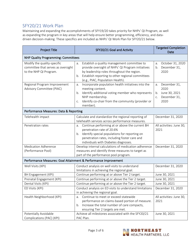## SFY20/21 Work Plan

Maintaining and expanding the accomplishments of SFY19/20 takes priority for NHPs' QI Program, as well as expanding the program in key areas that will help ensure better programming, efficiency, and datadriven decision-making. These specifics are included as NHPs' QI Work Plan for SFY20/21 below.

| <b>Project Title</b>                                                                        | SFY20/21 Goal and Activity                                                                                                                                                                                                                         | <b>Targeted Completion</b><br>Date                                                       |
|---------------------------------------------------------------------------------------------|----------------------------------------------------------------------------------------------------------------------------------------------------------------------------------------------------------------------------------------------------|------------------------------------------------------------------------------------------|
| <b>NHP Quality Programming: Committees</b>                                                  |                                                                                                                                                                                                                                                    |                                                                                          |
| Modify the quality-specific<br>committee that serves as oversight<br>to the NHP QI Program. | Establish a quality management committee to<br>a.<br>provide oversight of NHPs' QI Program initiatives<br>by leadership roles throughout the region.<br>Establish reporting to other regional committees<br>b.<br>(e.g., PIAC, Population Health). | October 31, 2020<br>a.<br>December 31,<br>b.<br>2020                                     |
| Regional Program Improvement<br>Advisory Committee (PIAC)                                   | Incorporate population health initiatives into the<br>a.<br>meeting content.<br>Identify additional voting member who represents<br>b.<br>NHP membership.<br>Identify co-chair from the community (provider or<br>C.<br>member).                   | December 31,<br>a.<br>2020<br>June 30, 2021<br>$b_{\cdot}$<br>December 31,<br>C.<br>2020 |
| Performance Measures: Data & Reporting                                                      |                                                                                                                                                                                                                                                    |                                                                                          |
| Telehealth impact                                                                           | Calculate and standardize the regional reporting of<br>telehealth services across performance measures.                                                                                                                                            | December 31, 2020                                                                        |
| Penetration rates                                                                           | Continue performing at or above the current BH<br>a <sub>r</sub><br>penetration rate of 20.6%<br>Identify special populations for reporting on<br>b.<br>penetration rates, including foster care and<br>individuals with Diabetes diagnoses.       | All activities: June 30,<br>2021                                                         |
| <b>Medication Adherence</b><br>(Performance Pool)                                           | Develop internal calculations of medication adherence<br>measures and identify three measures to target as<br>part of the performance pool program.                                                                                                | December 31, 2020                                                                        |
| Performance Measures: Goal Attainment & Performance Improvement                             |                                                                                                                                                                                                                                                    |                                                                                          |
| Well Visits (KPI)                                                                           | Conduct analysis on well visits to understand<br>limitations in achieving the regional goal.                                                                                                                                                       | December 31, 2020                                                                        |
| BH Engagement (KPI)                                                                         | Continue performing at or above Tier 2 target.                                                                                                                                                                                                     | June 30, 2021                                                                            |
| Prenatal Engagement (KPI)                                                                   | Continue performing at or above the Tier 2 target.                                                                                                                                                                                                 | June 30, 2021                                                                            |
| Dental Visits (KPI)                                                                         | Continue performing at or above the Tier 2 target.                                                                                                                                                                                                 | June 30, 2021                                                                            |
| ED Visits (KPI)                                                                             | Conduct analysis on ED visits to understand limitations<br>in achieving the regional goal.                                                                                                                                                         | December 31, 2020                                                                        |
| Health Neighborhood (KPI)                                                                   | Continue to meet or exceed statewide<br>a.<br>performance on claims-based portion of measure.<br>Increase the total number of care compacts,<br>b.<br>ensuring Tier 2 targets are met.                                                             | All activities: June 30,<br>2021                                                         |
| Potentially Avoidable<br>Complications (PAC) (KPI)                                          | Achieve all milestones associated with the SFY20/21<br>PAC Plan.                                                                                                                                                                                   | June 30, 2021                                                                            |

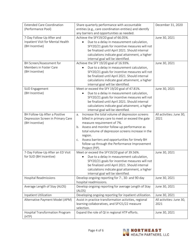| <b>Extended Care Coordination</b> | Share quarterly performance with accountable             | December 31, 2020        |
|-----------------------------------|----------------------------------------------------------|--------------------------|
| (Performance Pool)                | entities (e.g., care coordination entities) and identify |                          |
|                                   | any barriers and opportunities as needed.                |                          |
| 7-Day Follow-Up After and         | Achieve the SFY19/20 goal of 66.05%.                     | June 30, 2021            |
| Inpatient Visit for Mental Health | Due to a delay in measurement calculation,<br>$\bullet$  |                          |
| (BH Incentive)                    | SFY20/21 goals for incentive measures will not           |                          |
|                                   | be finalized until April 2021. Should internal           |                          |
|                                   | calculations indicate goal attainment, a higher          |                          |
|                                   | internal goal will be identified.                        |                          |
| BH Screen/Assessment for          | Achieve the SFY 19/20 goal of 16.93%.                    | June 30, 2021            |
| Members in Foster Care            | Due to a delay in measurement calculation,<br>$\bullet$  |                          |
| (BH Incentive)                    | SFY20/21 goals for incentive measures will not           |                          |
|                                   | be finalized until April 2021. Should internal           |                          |
|                                   | calculations indicate goal attainment, a higher          |                          |
|                                   | internal goal will be identified.                        |                          |
| SUD Engagement                    | Meet or exceed the SFY 19/20 goal of 47.81%.             | June 30, 2021            |
| (BH Incentive)                    | Due to a delay in measurement calculation,<br>$\bullet$  |                          |
|                                   | SFY20/21 goals for incentive measures will not           |                          |
|                                   | be finalized until April 2021. Should internal           |                          |
|                                   | calculations indicate goal attainment, a higher          |                          |
|                                   | internal goal will be identified.                        |                          |
| BH Follow-Up After a Positive     | Increase the total volume of depression screens<br>a.    | All activities: June 30, |
| Depression Screen in Primary Care | billed in primary care to meet or exceed the gate        | 2021                     |
| (BH Incentive)                    | measure requirement of 7%.                               |                          |
|                                   | Assess and monitor follow-up performance as<br>b.        |                          |
|                                   | total volume of depression screens increase in the       |                          |
|                                   | region.                                                  |                          |
|                                   | Assess barriers and opportunities for timely BH<br>C.    |                          |
|                                   | follow-up through the Performance Improvement            |                          |
|                                   | Project (PIP).                                           |                          |
| 7-Day Follow-Up After an ED Visit | Meet or exceed the SFY19/20 goal of 39.56%.              | June 30, 2021            |
| for SUD (BH Incentive)            | Due to a delay in measurement calculation,               |                          |
|                                   | SFY20/21 goals for incentive measures will not           |                          |
|                                   | be finalized until April 2021. Should internal           |                          |
|                                   | calculations indicate goal attainment, a higher          |                          |
|                                   | internal goal will be identified.                        |                          |
| Hospital Readmissions             | Develop ongoing reporting for 7-, 30- and 90-day         | June 30, 2021            |
|                                   | hospital readmissions.                                   |                          |
| Average Length of Stay (ALOS)     | Develop ongoing reporting for average Length of Stay     | June 30, 2021            |
|                                   | (ALOS)                                                   |                          |
| Inpatient Utilization             | Developing ongoing reporting for inpatient utilization.  | June 30, 2021            |
| Alternative Payment Model (APM)   | Assist in practice transformation activities, regional   | All activities: June 30, |
|                                   | learning collaboratives, and SFY21/22 measure            | 2021                     |
|                                   | selection.                                               |                          |
| Hospital Transformation Program   | Expand the role of QI in regional HTP efforts.           | June 30, 2021            |
| (HTP)                             |                                                          |                          |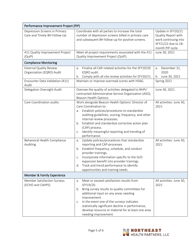| Performance Improvement Project (PIP)                         |                                                                                                                                                                                                                                                                                                                                                                         |                                                                                                              |
|---------------------------------------------------------------|-------------------------------------------------------------------------------------------------------------------------------------------------------------------------------------------------------------------------------------------------------------------------------------------------------------------------------------------------------------------------|--------------------------------------------------------------------------------------------------------------|
| Depression Screens in Primary<br>Care and Timely BH Follow-Up | Coordinate with all parties to increase the total<br>number of depression screens billed in primary care<br>and subsequent BH follow-up for positive screens.                                                                                                                                                                                                           | Update in SFY20/21<br>Quality Report with<br>work continuing into<br>SFY21/22 due to 18-<br>month PIP cycle. |
| 411 Quality Improvement Project<br>(QuIP)                     | Meet all project requirements associated with the 411<br>Quality Improvement Project (QuIP).                                                                                                                                                                                                                                                                            | June 30, 2021                                                                                                |
| <b>Compliance Monitoring</b>                                  |                                                                                                                                                                                                                                                                                                                                                                         |                                                                                                              |
| <b>External Quality Review</b><br>Organization (EQRO) Audit   | Finalize all CAP-related activities for the SFY19/20<br>a.<br>EQRO audit.<br>Comply with all site review activities for SFY20/21.<br>b.                                                                                                                                                                                                                                 | December 31,<br>a.<br>2020<br>b. June 30, 2021                                                               |
| Encounter Data Validation (411)<br>Audit                      | Maintain or improve overread scores with HSAG.                                                                                                                                                                                                                                                                                                                          | Spring 2021                                                                                                  |
| Delegation Oversight Audit                                    | Oversee the quality of activities delegated to NHPs'<br>contracted Administrative Service Organization (ASO),<br>Beacon Health Options.                                                                                                                                                                                                                                 | June 30, 2021                                                                                                |
| Care Coordination audits                                      | Work alongside Beacon Health Options' Director of<br>Care Coordination to:<br>Establish policies/procedures to standardize<br>a.<br>auditing guidelines, scoring, frequency, and other<br>internal review processes.<br>Establish and standardize corrective action plan<br>b.<br>(CAP) process.<br>Identify meaningful reporting and trending of<br>C.<br>performance. | All activities: June 30,<br>2021                                                                             |
| Behavioral Health Compliance<br>Auditing                      | Update policies/procedures that standardize<br>a.<br>reporting and CAP-processes.<br>Establish frequency, schedule, and conduct<br>b.<br>provider trainings.<br>Incorporate information specific to the SUD<br>C.<br>expansion benefit into provider trainings.<br>Track and trend performance to identify<br>d.<br>opportunities and training needs.                   | All activities: June 30,<br>2021                                                                             |
| <b>Member &amp; Family Experience</b>                         |                                                                                                                                                                                                                                                                                                                                                                         |                                                                                                              |
| Member Satisfaction Surveys<br>(ECHO and CAHPS)               | Meet or exceed satisfaction results from<br>a.<br>SFY19/20.<br>b. Bring survey results to quality committees for<br>additional input on any areas needing<br>improvement.<br>In the event one of the surveys indicates<br>C.<br>statistically significant decline in performance,<br>develop resource or material for at least one area<br>needing improvement.         | All activities: June 30,<br>2021                                                                             |